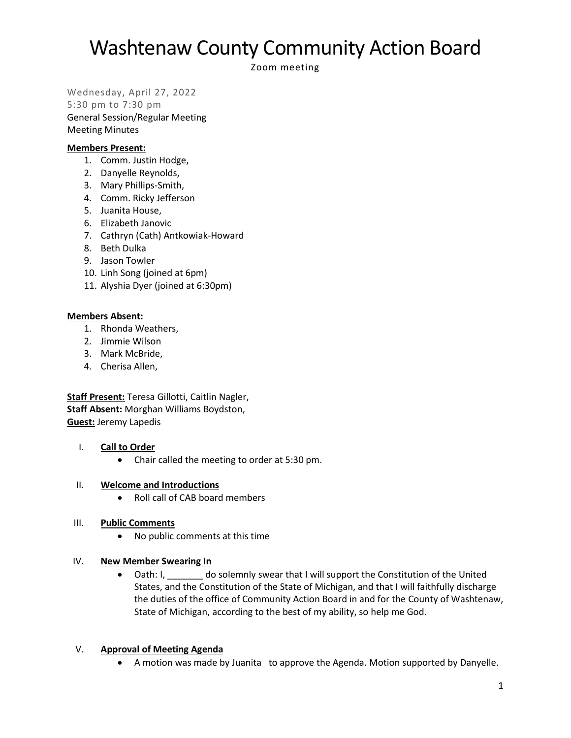Zoom meeting

Wednesday, April 27, 2022

5:30 pm to 7:30 pm General Session/Regular Meeting Meeting Minutes

### **Members Present:**

- 1. Comm. Justin Hodge,
- 2. Danyelle Reynolds,
- 3. Mary Phillips-Smith,
- 4. Comm. Ricky Jefferson
- 5. Juanita House,
- 6. Elizabeth Janovic
- 7. Cathryn (Cath) Antkowiak-Howard
- 8. Beth Dulka
- 9. Jason Towler
- 10. Linh Song (joined at 6pm)
- 11. Alyshia Dyer (joined at 6:30pm)

### **Members Absent:**

- 1. Rhonda Weathers,
- 2. Jimmie Wilson
- 3. Mark McBride,
- 4. Cherisa Allen,

**Staff Present:** Teresa Gillotti, Caitlin Nagler, **Staff Absent:** Morghan Williams Boydston, **Guest:** Jeremy Lapedis

### I. **Call to Order**

• Chair called the meeting to order at 5:30 pm.

### II. **Welcome and Introductions**

• Roll call of CAB board members

### III. **Public Comments**

• No public comments at this time

### IV. **New Member Swearing In**

• Oath: I, do solemnly swear that I will support the Constitution of the United States, and the Constitution of the State of Michigan, and that I will faithfully discharge the duties of the office of Community Action Board in and for the County of Washtenaw, State of Michigan, according to the best of my ability, so help me God.

### V. **Approval of Meeting Agenda**

• A motion was made by Juanita to approve the Agenda. Motion supported by Danyelle.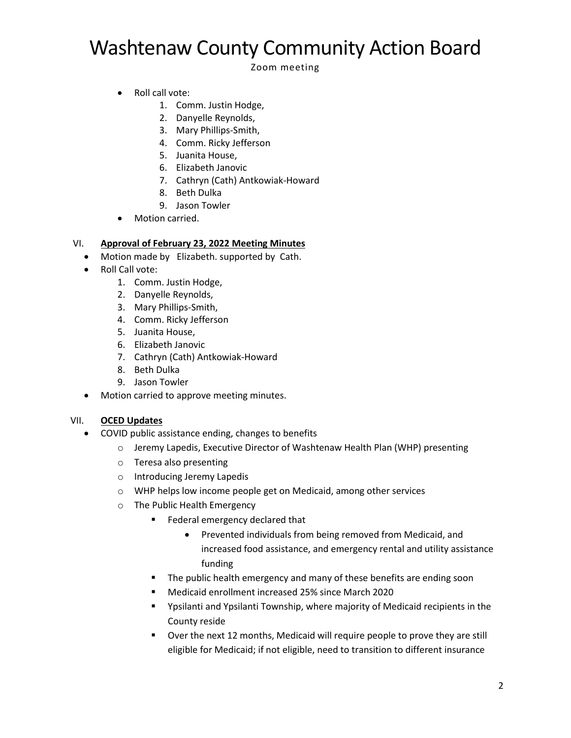Zoom meeting

- Roll call vote:
	- 1. Comm. Justin Hodge,
	- 2. Danyelle Reynolds,
	- 3. Mary Phillips-Smith,
	- 4. Comm. Ricky Jefferson
	- 5. Juanita House,
	- 6. Elizabeth Janovic
	- 7. Cathryn (Cath) Antkowiak-Howard
	- 8. Beth Dulka
	- 9. Jason Towler
- Motion carried.

## VI. **Approval of February 23, 2022 Meeting Minutes**

- Motion made by Elizabeth. supported by Cath.
- Roll Call vote:
	- 1. Comm. Justin Hodge,
	- 2. Danyelle Reynolds,
	- 3. Mary Phillips-Smith,
	- 4. Comm. Ricky Jefferson
	- 5. Juanita House,
	- 6. Elizabeth Janovic
	- 7. Cathryn (Cath) Antkowiak-Howard
	- 8. Beth Dulka
	- 9. Jason Towler
- Motion carried to approve meeting minutes.

### VII. **OCED Updates**

- COVID public assistance ending, changes to benefits
	- o Jeremy Lapedis, Executive Director of Washtenaw Health Plan (WHP) presenting
	- o Teresa also presenting
	- o Introducing Jeremy Lapedis
	- o WHP helps low income people get on Medicaid, among other services
	- o The Public Health Emergency
		- Federal emergency declared that
			- Prevented individuals from being removed from Medicaid, and increased food assistance, and emergency rental and utility assistance funding
		- The public health emergency and many of these benefits are ending soon
		- Medicaid enrollment increased 25% since March 2020
		- Ypsilanti and Ypsilanti Township, where majority of Medicaid recipients in the County reside
		- Over the next 12 months, Medicaid will require people to prove they are still eligible for Medicaid; if not eligible, need to transition to different insurance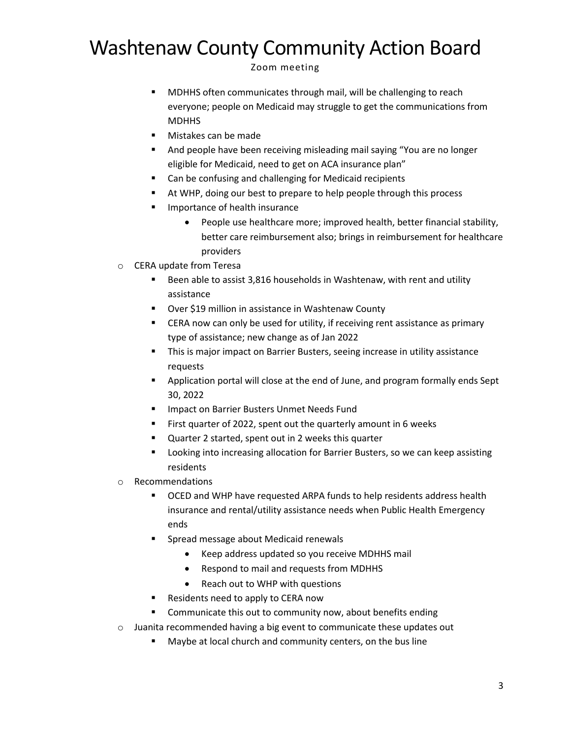Zoom meeting

- MDHHS often communicates through mail, will be challenging to reach everyone; people on Medicaid may struggle to get the communications from **MDHHS**
- Mistakes can be made
- And people have been receiving misleading mail saying "You are no longer eligible for Medicaid, need to get on ACA insurance plan"
- Can be confusing and challenging for Medicaid recipients
- At WHP, doing our best to prepare to help people through this process
- Importance of health insurance
	- People use healthcare more; improved health, better financial stability, better care reimbursement also; brings in reimbursement for healthcare providers
- o CERA update from Teresa
	- Been able to assist 3,816 households in Washtenaw, with rent and utility assistance
	- Over \$19 million in assistance in Washtenaw County
	- CERA now can only be used for utility, if receiving rent assistance as primary type of assistance; new change as of Jan 2022
	- **•** This is major impact on Barrier Busters, seeing increase in utility assistance requests
	- Application portal will close at the end of June, and program formally ends Sept 30, 2022
	- Impact on Barrier Busters Unmet Needs Fund
	- First quarter of 2022, spent out the quarterly amount in 6 weeks
	- Quarter 2 started, spent out in 2 weeks this quarter
	- Looking into increasing allocation for Barrier Busters, so we can keep assisting residents
- o Recommendations
	- OCED and WHP have requested ARPA funds to help residents address health insurance and rental/utility assistance needs when Public Health Emergency ends
	- Spread message about Medicaid renewals
		- Keep address updated so you receive MDHHS mail
		- Respond to mail and requests from MDHHS
		- Reach out to WHP with questions
	- Residents need to apply to CERA now
	- Communicate this out to community now, about benefits ending
- $\circ$  Juanita recommended having a big event to communicate these updates out
	- Maybe at local church and community centers, on the bus line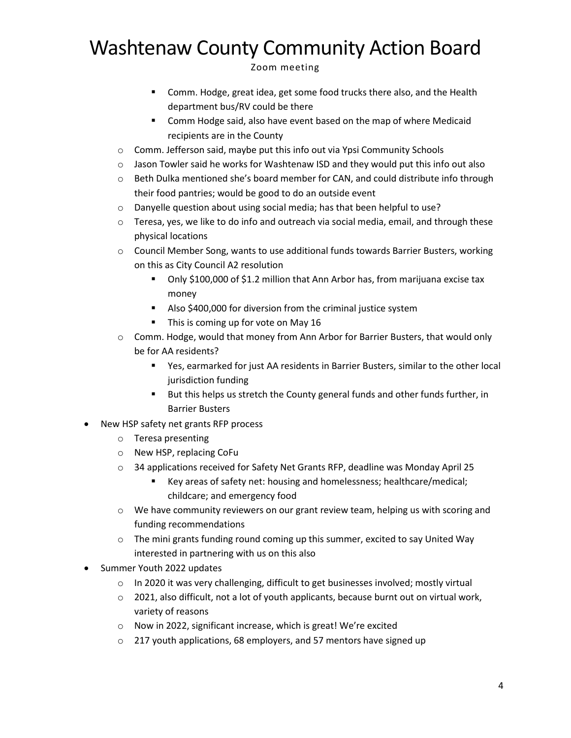Zoom meeting

- Comm. Hodge, great idea, get some food trucks there also, and the Health department bus/RV could be there
- Comm Hodge said, also have event based on the map of where Medicaid recipients are in the County
- $\circ$  Comm. Jefferson said, maybe put this info out via Ypsi Community Schools
- $\circ$  Jason Towler said he works for Washtenaw ISD and they would put this info out also
- $\circ$  Beth Dulka mentioned she's board member for CAN, and could distribute info through their food pantries; would be good to do an outside event
- o Danyelle question about using social media; has that been helpful to use?
- $\circ$  Teresa, yes, we like to do info and outreach via social media, email, and through these physical locations
- $\circ$  Council Member Song, wants to use additional funds towards Barrier Busters, working on this as City Council A2 resolution
	- Only \$100,000 of \$1.2 million that Ann Arbor has, from marijuana excise tax money
	- Also \$400,000 for diversion from the criminal justice system
	- This is coming up for vote on May 16
- o Comm. Hodge, would that money from Ann Arbor for Barrier Busters, that would only be for AA residents?
	- Yes, earmarked for just AA residents in Barrier Busters, similar to the other local jurisdiction funding
	- But this helps us stretch the County general funds and other funds further, in Barrier Busters
- New HSP safety net grants RFP process
	- o Teresa presenting
	- o New HSP, replacing CoFu
	- $\circ$  34 applications received for Safety Net Grants RFP, deadline was Monday April 25
		- Key areas of safety net: housing and homelessness; healthcare/medical; childcare; and emergency food
	- $\circ$  We have community reviewers on our grant review team, helping us with scoring and funding recommendations
	- $\circ$  The mini grants funding round coming up this summer, excited to say United Way interested in partnering with us on this also
- Summer Youth 2022 updates
	- $\circ$  In 2020 it was very challenging, difficult to get businesses involved; mostly virtual
	- $\circ$  2021, also difficult, not a lot of youth applicants, because burnt out on virtual work, variety of reasons
	- o Now in 2022, significant increase, which is great! We're excited
	- o 217 youth applications, 68 employers, and 57 mentors have signed up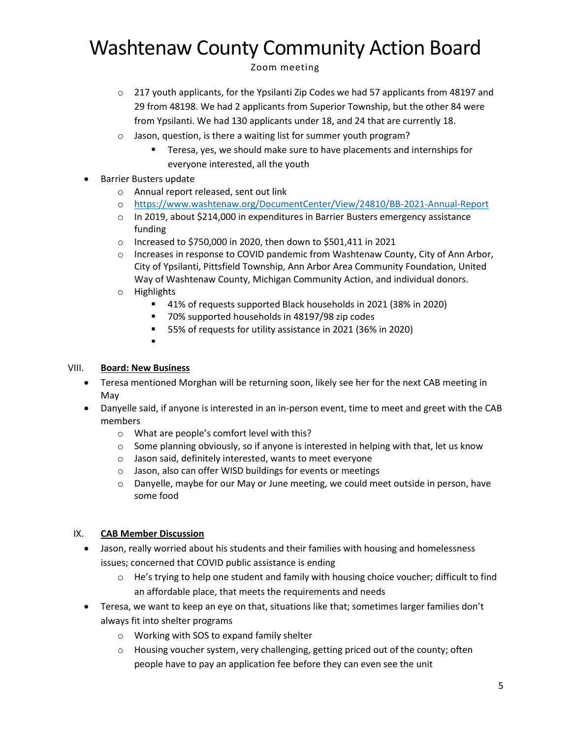Zoom meeting

- o 217 youth applicants, for the Ypsilanti Zip Codes we had 57 applicants from 48197 and 29 from 48198. We had 2 applicants from Superior Township, but the other 84 were from Ypsilanti. We had 130 applicants under 18, and 24 that are currently 18.
- o Jason, question, is there a waiting list for summer youth program?
	- Teresa, yes, we should make sure to have placements and internships for everyone interested, all the youth
- Barrier Busters update
	- o Annual report released, sent out link
	- o <https://www.washtenaw.org/DocumentCenter/View/24810/BB-2021-Annual-Report>
	- $\circ$  In 2019, about \$214,000 in expenditures in Barrier Busters emergency assistance funding
	- o Increased to \$750,000 in 2020, then down to \$501,411 in 2021
	- $\circ$  Increases in response to COVID pandemic from Washtenaw County, City of Ann Arbor, City of Ypsilanti, Pittsfield Township, Ann Arbor Area Community Foundation, United Way of Washtenaw County, Michigan Community Action, and individual donors.
	- o Highlights
		- 41% of requests supported Black households in 2021 (38% in 2020)
		- 70% supported households in 48197/98 zip codes
		- 55% of requests for utility assistance in 2021 (36% in 2020)
		- ▪

### VIII. **Board: New Business**

- Teresa mentioned Morghan will be returning soon, likely see her for the next CAB meeting in May
- Danyelle said, if anyone is interested in an in-person event, time to meet and greet with the CAB members
	- o What are people's comfort level with this?
	- $\circ$  Some planning obviously, so if anyone is interested in helping with that, let us know
	- o Jason said, definitely interested, wants to meet everyone
	- o Jason, also can offer WISD buildings for events or meetings
	- $\circ$  Danyelle, maybe for our May or June meeting, we could meet outside in person, have some food

### IX. **CAB Member Discussion**

- Jason, really worried about his students and their families with housing and homelessness issues; concerned that COVID public assistance is ending
	- o He's trying to help one student and family with housing choice voucher; difficult to find an affordable place, that meets the requirements and needs
- Teresa, we want to keep an eye on that, situations like that; sometimes larger families don't always fit into shelter programs
	- o Working with SOS to expand family shelter
	- $\circ$  Housing voucher system, very challenging, getting priced out of the county; often people have to pay an application fee before they can even see the unit